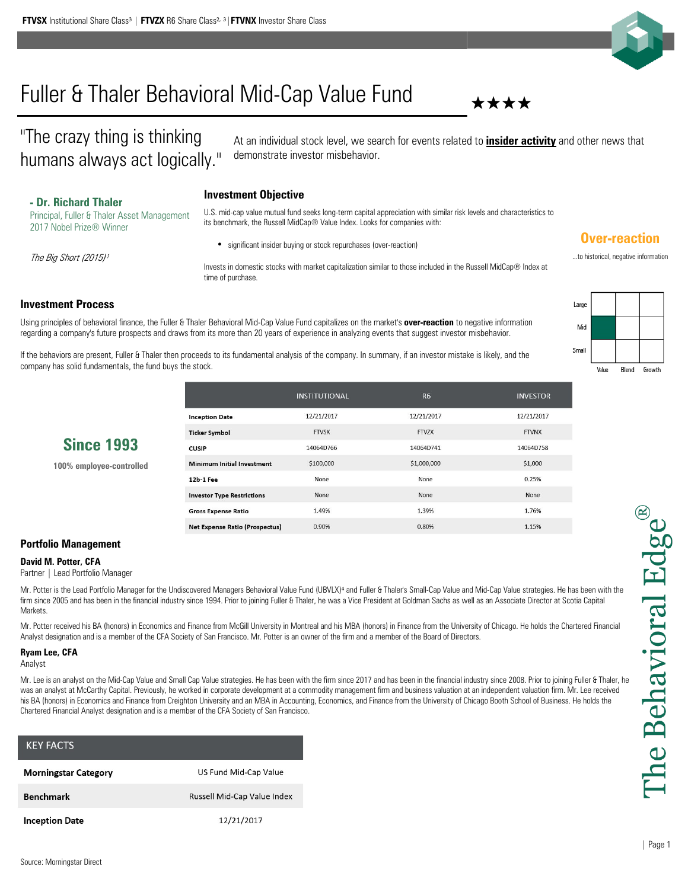

# Fuller & Thaler Behavioral Mid-Cap Value Fund ★★★★

"The crazy thing is thinking humans always act logically."

At an individual stock level, we search for events related to **insider activity** and other news that demonstrate investor misbehavior.

# **Investment Objective - Dr. Richard Thaler**

Principal, Fuller & Thaler Asset Management 2017 Nobel Prize® Winner

U.S. mid-cap value mutual fund seeks long-term capital appreciation with similar risk levels and characteristics to its benchmark, the Russell MidCap® Value Index. Looks for companies with:

significant insider buying or stock repurchases (over-reaction)

Invests in domestic stocks with market capitalization similar to those included in the Russell MidCap® Index at time of purchase.

# **Investment Process**

The Big Short (2015)<sup>1</sup>

Using principles of behavioral finance, the Fuller & Thaler Behavioral Mid-Cap Value Fund capitalizes on the market's **over-reaction** to negative information regarding a company's future prospects and draws from its more than 20 years of experience in analyzing events that suggest investor misbehavior.

If the behaviors are present, Fuller & Thaler then proceeds to its fundamental analysis of the company. In summary, if an investor mistake is likely, and the company has solid fundamentals, the fund buys the stock.

| Large |                |             |           |
|-------|----------------|-------------|-----------|
| Mid   |                |             |           |
| Small |                |             |           |
|       | M <sub>2</sub> | $DI_{cond}$ | Conceillo |

**Over-reaction** ...to historical, negative information

**100% employee-controlled**

|                                   | <b>INSTITUTIONAL</b> | R <sub>6</sub> | <b>INVESTOR</b> |
|-----------------------------------|----------------------|----------------|-----------------|
| <b>Inception Date</b>             | 12/21/2017           | 12/21/2017     | 12/21/2017      |
| <b>Ticker Symbol</b>              | <b>FTVSX</b>         | FTV7X          | <b>FTVNX</b>    |
| <b>CUSIP</b>                      | 14064D766            | 14064D741      | 14064D758       |
| Minimum Initial Investment        | \$100,000            | \$1,000,000    | \$1,000         |
| 12b-1 Fee                         | None                 | None           | 0.25%           |
| <b>Investor Type Restrictions</b> | None                 | None           | None            |
| <b>Gross Expense Ratio</b>        | 1.49%                | 1.39%          | 1.76%           |
| Net Expense Ratio (Prospectus)    | 0.90%                | 0.80%          | 1.15%           |

## **Portfolio Management**

### **David M. Potter, CFA**

Partner | Lead Portfolio Manager

Mr. Potter is the Lead Portfolio Manager for the Undiscovered Managers Behavioral Value Fund (UBVLX)<sup>4</sup> and Fuller & Thaler's Small-Cap Value and Mid-Cap Value strategies. He has been with the firm since 2005 and has been in the financial industry since 1994. Prior to joining Fuller & Thaler, he was a Vice President at Goldman Sachs as well as an Associate Director at Scotia Capital **Markets** 

Mr. Potter received his BA (honors) in Economics and Finance from McGill University in Montreal and his MBA (honors) in Finance from the University of Chicago. He holds the Chartered Financial Analyst designation and is a member of the CFA Society of San Francisco. Mr. Potter is an owner of the firm and a member of the Board of Directors.

#### **Ryam Lee, CFA**

Analyst

Mr. Lee is an analyst on the Mid-Cap Value and Small Cap Value strategies. He has been with the firm since 2017 and has been in the financial industry since 2008. Prior to joining Fuller & Thaler, he was an analyst at McCarthy Capital. Previously, he worked in corporate development at a commodity management firm and business valuation at an independent valuation firm. Mr. Lee received his BA (honors) in Economics and Finance from Creighton University and an MBA in Accounting, Economics, and Finance from the University of Chicago Booth School of Business. He holds the Chartered Financial Analyst designation and is a member of the CFA Society of San Francisco.

| <b>KEY FACTS</b>            |                             |
|-----------------------------|-----------------------------|
| <b>Morningstar Category</b> | US Fund Mid-Cap Value       |
| <b>Benchmark</b>            | Russell Mid-Cap Value Index |
| <b>Inception Date</b>       | 12/21/2017                  |